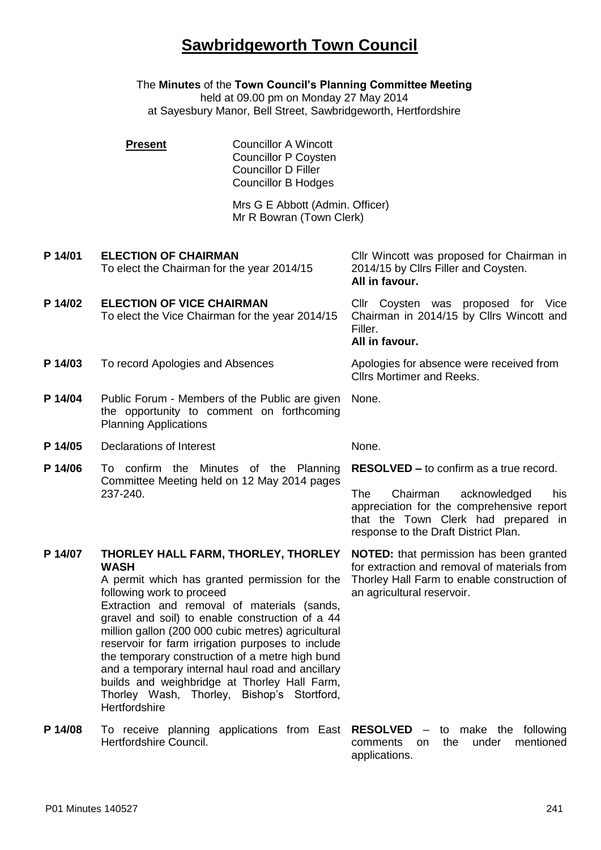# **Sawbridgeworth Town Council**

The **Minutes** of the **Town Council's Planning Committee Meeting** held at 09.00 pm on Monday 27 May 2014

at Sayesbury Manor, Bell Street, Sawbridgeworth, Hertfordshire

Councillor P Coysten

**Present Councillor A Wincott** 

|         | <b>Councillor D Filler</b><br><b>Councillor B Hodges</b>                                                                                                                                                                                                                                                                                                                                                                                                                                                                                                            |                                                                                                                                                                                                                      |
|---------|---------------------------------------------------------------------------------------------------------------------------------------------------------------------------------------------------------------------------------------------------------------------------------------------------------------------------------------------------------------------------------------------------------------------------------------------------------------------------------------------------------------------------------------------------------------------|----------------------------------------------------------------------------------------------------------------------------------------------------------------------------------------------------------------------|
|         | Mrs G E Abbott (Admin. Officer)<br>Mr R Bowran (Town Clerk)                                                                                                                                                                                                                                                                                                                                                                                                                                                                                                         |                                                                                                                                                                                                                      |
| P 14/01 | <b>ELECTION OF CHAIRMAN</b><br>To elect the Chairman for the year 2014/15                                                                                                                                                                                                                                                                                                                                                                                                                                                                                           | Cllr Wincott was proposed for Chairman in<br>2014/15 by Cllrs Filler and Coysten.<br>All in favour.                                                                                                                  |
| P 14/02 | <b>ELECTION OF VICE CHAIRMAN</b><br>To elect the Vice Chairman for the year 2014/15                                                                                                                                                                                                                                                                                                                                                                                                                                                                                 | Cllr Coysten was proposed for Vice<br>Chairman in 2014/15 by Cllrs Wincott and<br>Filler.<br>All in favour.                                                                                                          |
| P 14/03 | To record Apologies and Absences                                                                                                                                                                                                                                                                                                                                                                                                                                                                                                                                    | Apologies for absence were received from<br><b>Cllrs Mortimer and Reeks.</b>                                                                                                                                         |
| P 14/04 | Public Forum - Members of the Public are given<br>the opportunity to comment on forthcoming<br><b>Planning Applications</b>                                                                                                                                                                                                                                                                                                                                                                                                                                         | None.                                                                                                                                                                                                                |
| P 14/05 | Declarations of Interest                                                                                                                                                                                                                                                                                                                                                                                                                                                                                                                                            | None.                                                                                                                                                                                                                |
| P 14/06 | To confirm the Minutes of the Planning<br>Committee Meeting held on 12 May 2014 pages<br>237-240.                                                                                                                                                                                                                                                                                                                                                                                                                                                                   | <b>RESOLVED – to confirm as a true record.</b><br>The<br>Chairman<br>acknowledged<br>his<br>appreciation for the comprehensive report<br>that the Town Clerk had prepared in<br>response to the Draft District Plan. |
| P 14/07 | THORLEY HALL FARM, THORLEY, THORLEY<br><b>WASH</b><br>A permit which has granted permission for the<br>following work to proceed<br>Extraction and removal of materials (sands,<br>gravel and soil) to enable construction of a 44<br>million gallon (200 000 cubic metres) agricultural<br>reservoir for farm irrigation purposes to include<br>the temporary construction of a metre high bund<br>and a temporary internal haul road and ancillary<br>builds and weighbridge at Thorley Hall Farm,<br>Thorley Wash, Thorley, Bishop's Stortford,<br>Hertfordshire | <b>NOTED:</b> that permission has been granted<br>for extraction and removal of materials from<br>Thorley Hall Farm to enable construction of<br>an agricultural reservoir.                                          |
| P 14/08 | To receive planning applications from East RESOLVED - to make the following                                                                                                                                                                                                                                                                                                                                                                                                                                                                                         |                                                                                                                                                                                                                      |

Hertfordshire Council.

comments on the under mentioned

applications.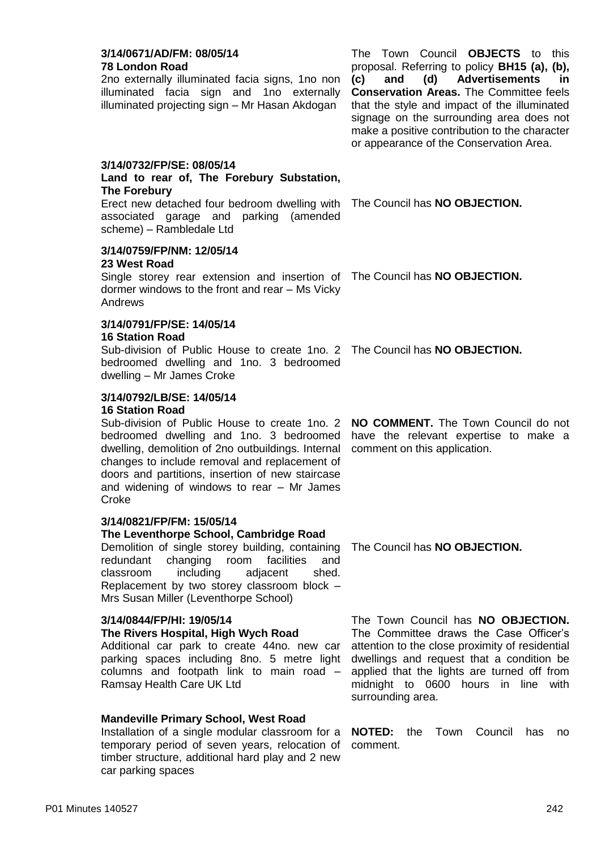#### **3/14/0671/AD/FM: 08/05/14 78 London Road**

2no externally illuminated facia signs, 1no non illuminated facia sign and 1no externally illuminated projecting sign – Mr Hasan Akdogan

#### **3/14/0732/FP/SE: 08/05/14**

#### **Land to rear of, The Forebury Substation, The Forebury**

Erect new detached four bedroom dwelling with associated garage and parking (amended scheme) – Rambledale Ltd

# **3/14/0759/FP/NM: 12/05/14**

# **23 West Road**

Single storey rear extension and insertion of The Council has **NO OBJECTION.** dormer windows to the front and rear – Ms Vicky Andrews

#### **3/14/0791/FP/SE: 14/05/14 16 Station Road**

Sub-division of Public House to create 1no. 2 The Council has **NO OBJECTION.** bedroomed dwelling and 1no. 3 bedroomed dwelling – Mr James Croke

# **3/14/0792/LB/SE: 14/05/14**

# **16 Station Road**

Sub-division of Public House to create 1no. 2 bedroomed dwelling and 1no. 3 bedroomed dwelling, demolition of 2no outbuildings. Internal changes to include removal and replacement of doors and partitions, insertion of new staircase and widening of windows to rear – Mr James Croke

# **3/14/0821/FP/FM: 15/05/14**

# **The Leventhorpe School, Cambridge Road**

Demolition of single storey building, containing redundant changing room facilities and classroom including adjacent shed. Replacement by two storey classroom block – Mrs Susan Miller (Leventhorpe School)

# **3/14/0844/FP/HI: 19/05/14**

# **The Rivers Hospital, High Wych Road**

Additional car park to create 44no. new car parking spaces including 8no. 5 metre light columns and footpath link to main road – Ramsay Health Care UK Ltd

# **Mandeville Primary School, West Road**

Installation of a single modular classroom for a temporary period of seven years, relocation of timber structure, additional hard play and 2 new car parking spaces

The Town Council **OBJECTS** to this proposal. Referring to policy **BH15 (a), (b), (c) and (d) Advertisements in Conservation Areas.** The Committee feels that the style and impact of the illuminated signage on the surrounding area does not make a positive contribution to the character or appearance of the Conservation Area.

The Council has **NO OBJECTION.**

**NO COMMENT.** The Town Council do not

have the relevant expertise to make a

comment on this application.

The Council has **NO OBJECTION.**

The Town Council has **NO OBJECTION.**  The Committee draws the Case Officer's attention to the close proximity of residential dwellings and request that a condition be applied that the lights are turned off from midnight to 0600 hours in line with surrounding area.

**NOTED:** the Town Council has no comment.